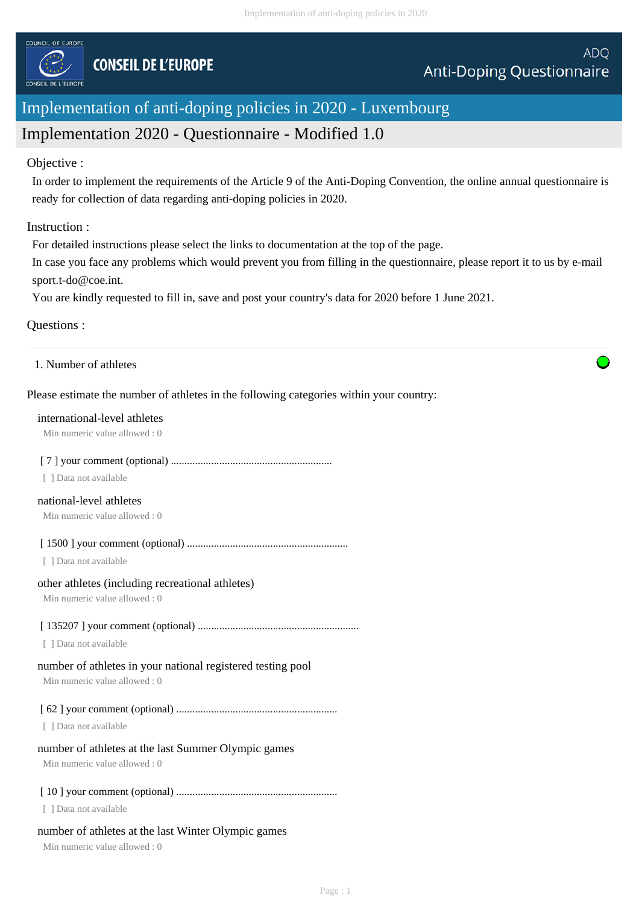

# Implementation of anti-doping policies in 2020 - Luxembourg

# Implementation 2020 - Questionnaire - Modified 1.0

#### Objective :

In order to implement the requirements of the Article 9 of the Anti-Doping Convention, the online annual questionnaire is ready for collection of data regarding anti-doping policies in 2020.

## Instruction :

For detailed instructions please select the links to documentation at the top of the page.

In case you face any problems which would prevent you from filling in the questionnaire, please report it to us by e-mail sport.t-do@coe.int.

You are kindly requested to fill in, save and post your country's data for 2020 before 1 June 2021.

## Questions :

1. Number of athletes

## Please estimate the number of athletes in the following categories within your country:

#### international-level athletes

Min numeric value allowed : 0

## [ 7 ] your comment (optional) ............................................................

[ ] Data not available

# national-level athletes

Min numeric value allowed : 0

[ 1500 ] your comment (optional) ............................................................

[ ] Data not available

#### other athletes (including recreational athletes)

Min numeric value allowed : 0

## [ 135207 ] your comment (optional) ............................................................

[ ] Data not available

# number of athletes in your national registered testing pool

Min numeric value allowed : 0

[ 62 ] your comment (optional) ............................................................

[ ] Data not available

# number of athletes at the last Summer Olympic games

Min numeric value allowed : 0

# [ 10 ] your comment (optional) ............................................................

[ ] Data not available

# number of athletes at the last Winter Olympic games

Min numeric value allowed : 0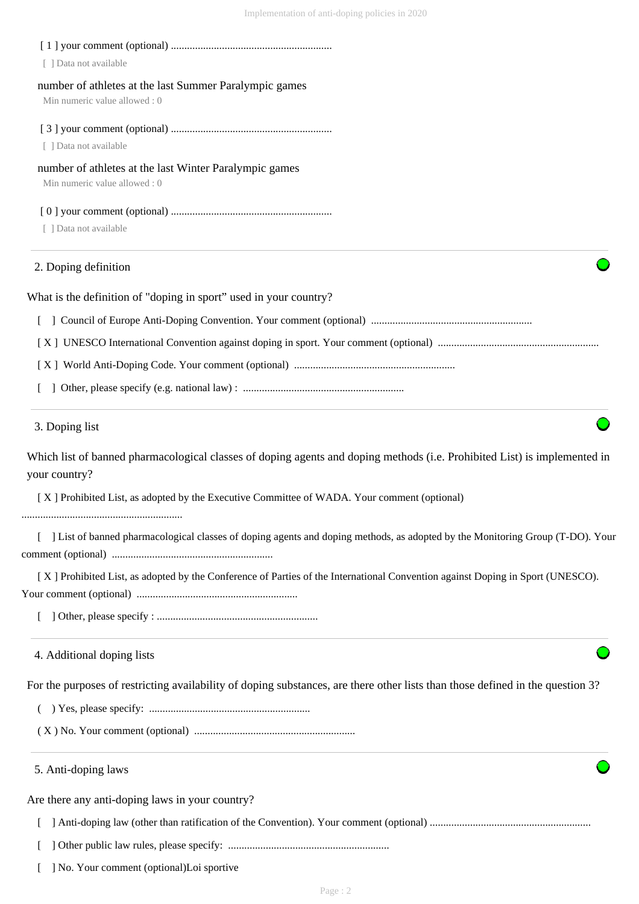| [ ] Data not available                                                                                                                     |
|--------------------------------------------------------------------------------------------------------------------------------------------|
| number of athletes at the last Summer Paralympic games<br>Min numeric value allowed: 0                                                     |
|                                                                                                                                            |
| [ ] Data not available                                                                                                                     |
| number of athletes at the last Winter Paralympic games<br>Min numeric value allowed: 0                                                     |
|                                                                                                                                            |
| [ ] Data not available                                                                                                                     |
| 2. Doping definition                                                                                                                       |
| What is the definition of "doping in sport" used in your country?                                                                          |
|                                                                                                                                            |
|                                                                                                                                            |
|                                                                                                                                            |
|                                                                                                                                            |
| 3. Doping list                                                                                                                             |
| Which list of banned pharmacological classes of doping agents and doping methods (i.e. Prohibited List) is implemented in<br>your country? |
| [X] Prohibited List, as adopted by the Executive Committee of WADA. Your comment (optional)                                                |
| [ ] List of banned pharmacological classes of doping agents and doping methods, as adopted by the Monitoring Group (T-DO). Your            |
| [X] Prohibited List, as adopted by the Conference of Parties of the International Convention against Doping in Sport (UNESCO).             |
|                                                                                                                                            |
| 4. Additional doping lists                                                                                                                 |
| For the purposes of restricting availability of doping substances, are there other lists than those defined in the question 3?             |
|                                                                                                                                            |
|                                                                                                                                            |
| 5. Anti-doping laws                                                                                                                        |
| Are there any anti-doping laws in your country?                                                                                            |
|                                                                                                                                            |
|                                                                                                                                            |
| ] No. Your comment (optional)Loi sportive                                                                                                  |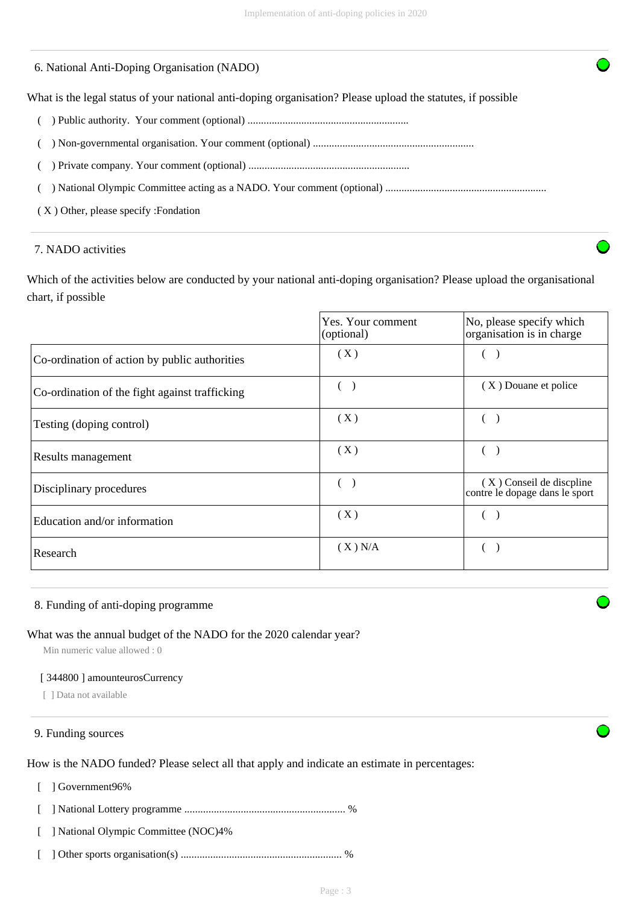## 6. National Anti-Doping Organisation (NADO)

What is the legal status of your national anti-doping organisation? Please upload the statutes, if possible

- ( ) Public authority. Your comment (optional) ............................................................
- ( ) Non-governmental organisation. Your comment (optional) ............................................................
- ( ) Private company. Your comment (optional) ............................................................

( ) National Olympic Committee acting as a NADO. Your comment (optional) ............................................................

( X ) Other, please specify :Fondation

#### 7. NADO activities

Which of the activities below are conducted by your national anti-doping organisation? Please upload the organisational chart, if possible

|                                                | Yes. Your comment<br>(optional) | No, please specify which<br>organisation is in charge      |
|------------------------------------------------|---------------------------------|------------------------------------------------------------|
| Co-ordination of action by public authorities  | (X)                             |                                                            |
| Co-ordination of the fight against trafficking |                                 | (X) Douane et police                                       |
| Testing (doping control)                       | (X)                             |                                                            |
| Results management                             | (X)                             |                                                            |
| Disciplinary procedures                        | (                               | (X) Conseil de discpline<br>contre le dopage dans le sport |
| Education and/or information                   | (X)                             |                                                            |
| Research                                       | (X) N/A                         |                                                            |

#### 8. Funding of anti-doping programme

## What was the annual budget of the NADO for the 2020 calendar year?

Min numeric value allowed : 0

#### [ 344800 ] amounteurosCurrency

[ ] Data not available

#### 9. Funding sources

How is the NADO funded? Please select all that apply and indicate an estimate in percentages:

[ ] Government96%

[ ] National Lottery programme ............................................................ %

- [ ] National Olympic Committee (NOC)4%
- [ ] Other sports organisation(s) ............................................................ %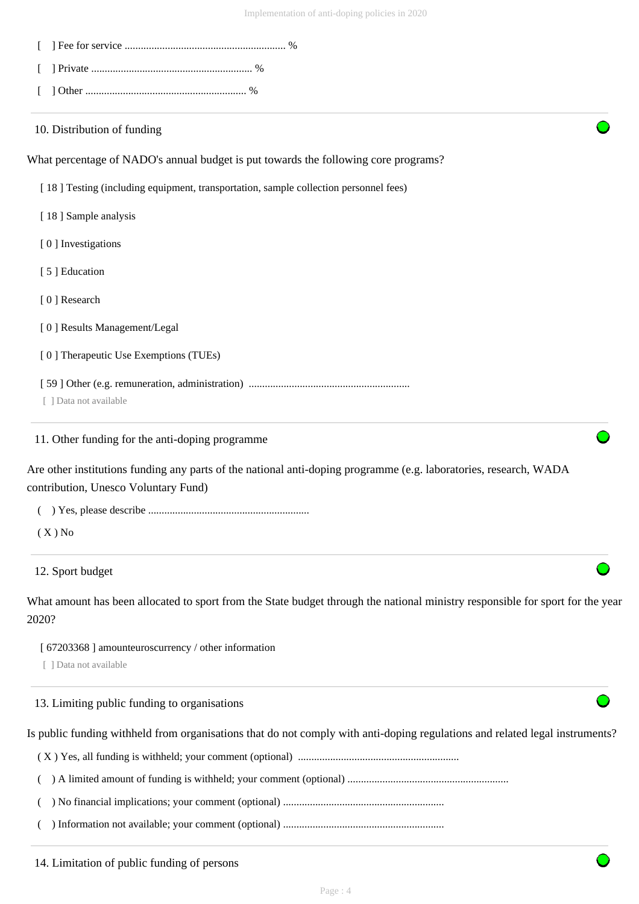| 10. Distribution of funding                                                                                                                               |
|-----------------------------------------------------------------------------------------------------------------------------------------------------------|
| What percentage of NADO's annual budget is put towards the following core programs?                                                                       |
| [18] Testing (including equipment, transportation, sample collection personnel fees)                                                                      |
| [18] Sample analysis                                                                                                                                      |
| [0] Investigations                                                                                                                                        |
| [5] Education                                                                                                                                             |
| [0] Research                                                                                                                                              |
| [0] Results Management/Legal                                                                                                                              |
| [0] Therapeutic Use Exemptions (TUEs)                                                                                                                     |
|                                                                                                                                                           |
| [ ] Data not available                                                                                                                                    |
| 11. Other funding for the anti-doping programme                                                                                                           |
| Are other institutions funding any parts of the national anti-doping programme (e.g. laboratories, research, WADA<br>contribution, Unesco Voluntary Fund) |
|                                                                                                                                                           |
| $(X)$ No                                                                                                                                                  |
| 12. Sport budget                                                                                                                                          |
| What amount has been allocated to sport from the State budget through the national ministry responsible for sport for the year<br>2020?                   |
| [ 67203368 ] amounteuroscurrency / other information                                                                                                      |
| [ ] Data not available                                                                                                                                    |
| 13. Limiting public funding to organisations                                                                                                              |

Is public funding withheld from organisations that do not comply with anti-doping regulations and related legal instruments?

( X ) Yes, all funding is withheld; your comment (optional) ............................................................

( ) A limited amount of funding is withheld; your comment (optional) ............................................................

( ) No financial implications; your comment (optional) ............................................................

( ) Information not available; your comment (optional) ............................................................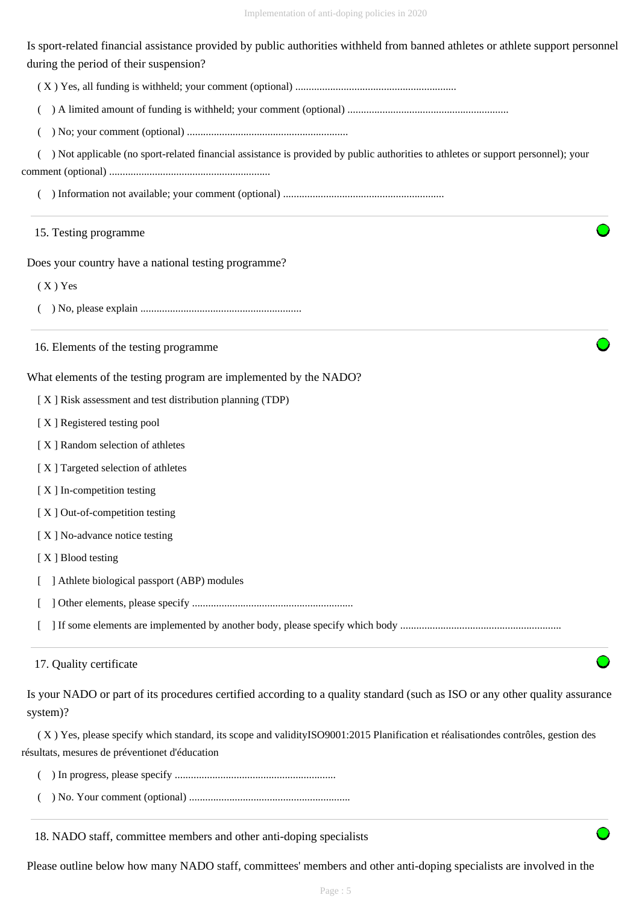Is sport-related financial assistance provided by public authorities withheld from banned athletes or athlete support personnel during the period of their suspension?

( X ) Yes, all funding is withheld; your comment (optional) ............................................................

( ) A limited amount of funding is withheld; your comment (optional) ............................................................

( ) No; your comment (optional) ............................................................

( ) Not applicable (no sport-related financial assistance is provided by public authorities to athletes or support personnel); your

comment (optional) ............................................................

( ) Information not available; your comment (optional) ............................................................

#### 15. Testing programme

Does your country have a national testing programme?

( X ) Yes

( ) No, please explain ............................................................

16. Elements of the testing programme

What elements of the testing program are implemented by the NADO?

[ X ] Risk assessment and test distribution planning (TDP)

[ X ] Registered testing pool

- [ X ] Random selection of athletes
- [ X ] Targeted selection of athletes
- [ X ] In-competition testing
- [X] Out-of-competition testing
- [X] No-advance notice testing

[X ] Blood testing

- [ ] Athlete biological passport (ABP) modules
- [ ] Other elements, please specify ............................................................

[ ] If some elements are implemented by another body, please specify which body ............................................................

# 17. Quality certificate

Is your NADO or part of its procedures certified according to a quality standard (such as ISO or any other quality assurance system)?

 ( X ) Yes, please specify which standard, its scope and validityISO9001:2015 Planification et réalisationdes contrôles, gestion des résultats, mesures de préventionet d'éducation

- ( ) In progress, please specify ............................................................
- ( ) No. Your comment (optional) ............................................................

#### 18. NADO staff, committee members and other anti-doping specialists

Please outline below how many NADO staff, committees' members and other anti-doping specialists are involved in the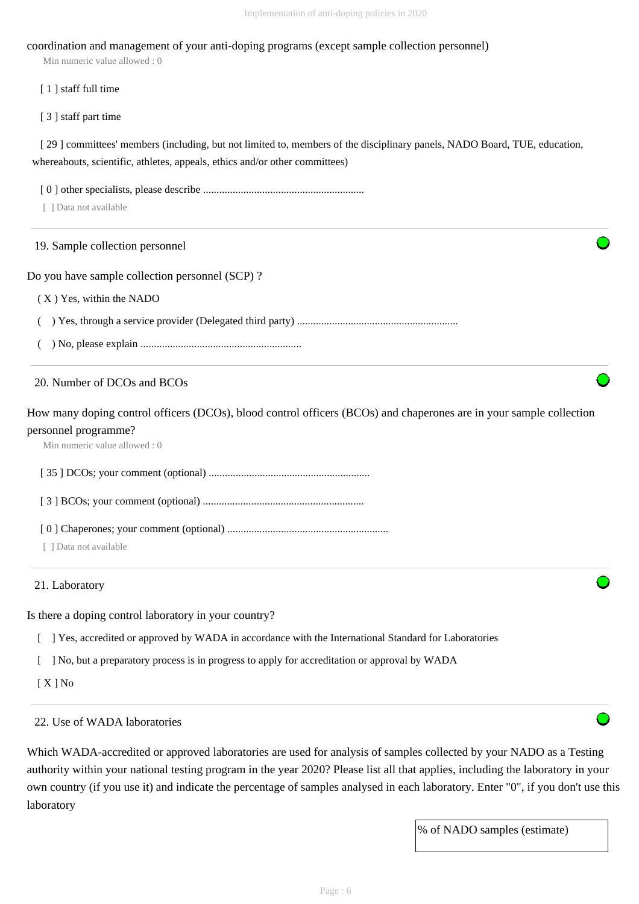#### coordination and management of your anti-doping programs (except sample collection personnel)

Min numeric value allowed : 0

[ 1 ] staff full time

[ 3 ] staff part time

[ 29 ] committees' members (including, but not limited to, members of the disciplinary panels, NADO Board, TUE, education, whereabouts, scientific, athletes, appeals, ethics and/or other committees)

[ 0 ] other specialists, please describe ............................................................

[ ] Data not available

#### 19. Sample collection personnel

Do you have sample collection personnel (SCP) ?

( X ) Yes, within the NADO

( ) Yes, through a service provider (Delegated third party) ............................................................

( ) No, please explain ............................................................

#### 20. Number of DCOs and BCOs

How many doping control officers (DCOs), blood control officers (BCOs) and chaperones are in your sample collection personnel programme?

Min numeric value allowed : 0

[ 35 ] DCOs; your comment (optional) ............................................................

[ 3 ] BCOs; your comment (optional) ............................................................

[ 0 ] Chaperones; your comment (optional) ............................................................

[ ] Data not available

#### 21. Laboratory

Is there a doping control laboratory in your country?

[ ] Yes, accredited or approved by WADA in accordance with the International Standard for Laboratories

[ ] No, but a preparatory process is in progress to apply for accreditation or approval by WADA

[ X ] No

22. Use of WADA laboratories

Which WADA-accredited or approved laboratories are used for analysis of samples collected by your NADO as a Testing authority within your national testing program in the year 2020? Please list all that applies, including the laboratory in your own country (if you use it) and indicate the percentage of samples analysed in each laboratory. Enter "0", if you don't use this laboratory

% of NADO samples (estimate)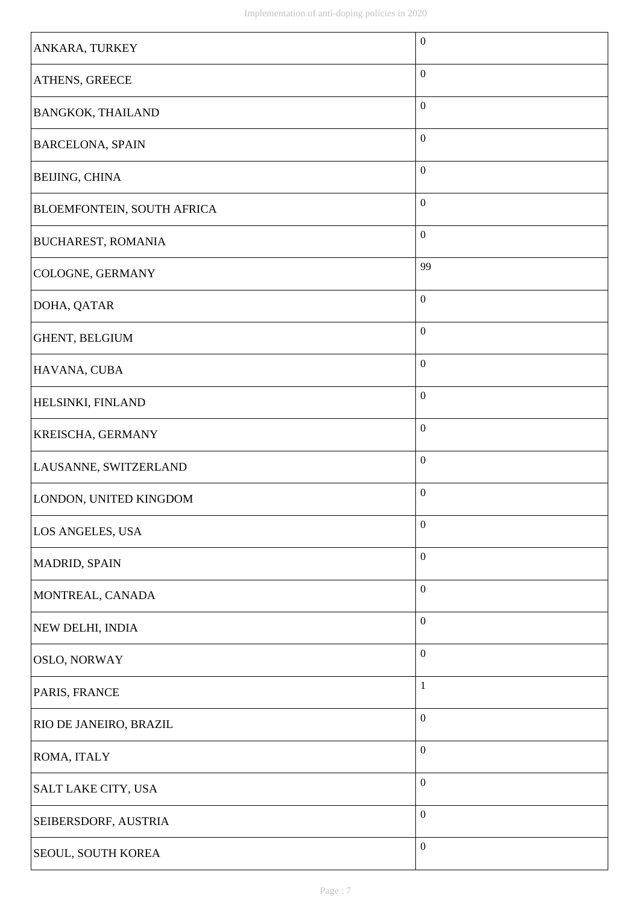| ANKARA, TURKEY             | $\boldsymbol{0}$ |
|----------------------------|------------------|
| ATHENS, GREECE             | $\boldsymbol{0}$ |
| <b>BANGKOK, THAILAND</b>   | $\boldsymbol{0}$ |
| <b>BARCELONA, SPAIN</b>    | $\boldsymbol{0}$ |
| BEIJING, CHINA             | $\boldsymbol{0}$ |
| BLOEMFONTEIN, SOUTH AFRICA | $\boldsymbol{0}$ |
| <b>BUCHAREST, ROMANIA</b>  | $\boldsymbol{0}$ |
| COLOGNE, GERMANY           | 99               |
| DOHA, QATAR                | $\boldsymbol{0}$ |
| GHENT, BELGIUM             | $\boldsymbol{0}$ |
| HAVANA, CUBA               | $\boldsymbol{0}$ |
| HELSINKI, FINLAND          | $\boldsymbol{0}$ |
| KREISCHA, GERMANY          | $\boldsymbol{0}$ |
| LAUSANNE, SWITZERLAND      | $\boldsymbol{0}$ |
| LONDON, UNITED KINGDOM     | $\boldsymbol{0}$ |
| LOS ANGELES, USA           | $\boldsymbol{0}$ |
| MADRID, SPAIN              | $\boldsymbol{0}$ |
| MONTREAL, CANADA           | $\boldsymbol{0}$ |
| NEW DELHI, INDIA           | $\boldsymbol{0}$ |
| OSLO, NORWAY               | $\boldsymbol{0}$ |
| PARIS, FRANCE              | $\mathbf{1}$     |
| RIO DE JANEIRO, BRAZIL     | $\boldsymbol{0}$ |
| ROMA, ITALY                | $\boldsymbol{0}$ |
| SALT LAKE CITY, USA        | $\boldsymbol{0}$ |
| SEIBERSDORF, AUSTRIA       | $\boldsymbol{0}$ |
| SEOUL, SOUTH KOREA         | $\boldsymbol{0}$ |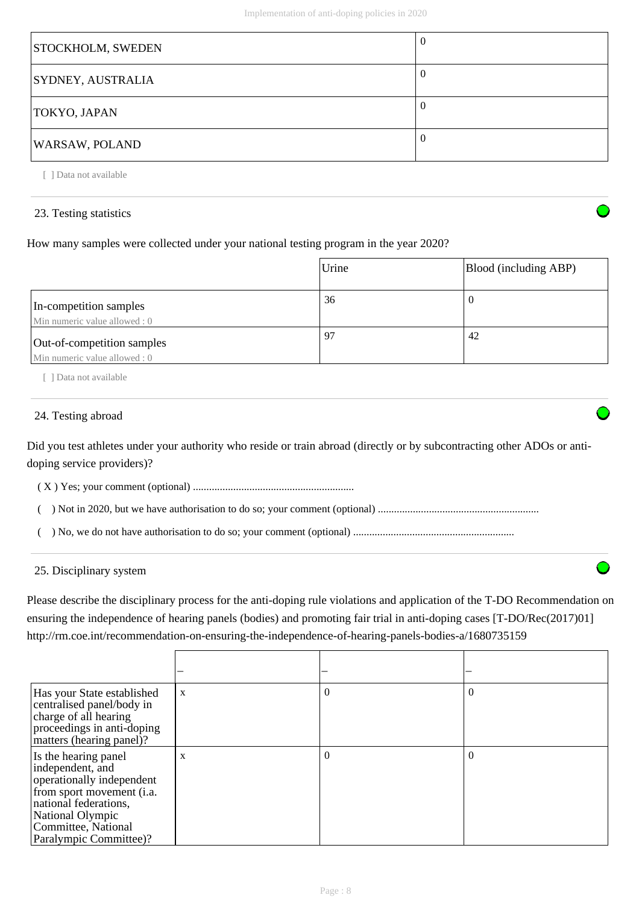| STOCKHOLM, SWEDEN        | U |
|--------------------------|---|
| <b>SYDNEY, AUSTRALIA</b> |   |
| <b>TOKYO, JAPAN</b>      |   |
| <b>WARSAW, POLAND</b>    |   |

[ ] Data not available

#### 23. Testing statistics

How many samples were collected under your national testing program in the year 2020?

|                                                             | Urine | Blood (including ABP) |
|-------------------------------------------------------------|-------|-----------------------|
| In-competition samples<br>Min numeric value allowed: 0      | 36    |                       |
| Out-of-competition samples<br>Min numeric value allowed : 0 | 97    | 42                    |

[ ] Data not available

## 24. Testing abroad

Did you test athletes under your authority who reside or train abroad (directly or by subcontracting other ADOs or antidoping service providers)?

( X ) Yes; your comment (optional) ............................................................

( ) Not in 2020, but we have authorisation to do so; your comment (optional) ............................................................

( ) No, we do not have authorisation to do so; your comment (optional) ............................................................

## 25. Disciplinary system

Please describe the disciplinary process for the anti-doping rule violations and application of the T-DO Recommendation on ensuring the independence of hearing panels (bodies) and promoting fair trial in anti-doping cases [T-DO/Rec(2017)01] http://rm.coe.int/recommendation-on-ensuring-the-independence-of-hearing-panels-bodies-a/1680735159

| Has your State established<br>centralised panel/body in<br>charge of all hearing<br>proceedings in anti-doping<br>matters (hearing panel)?                                                       | X | $\theta$ | 0        |
|--------------------------------------------------------------------------------------------------------------------------------------------------------------------------------------------------|---|----------|----------|
| Is the hearing panel<br>independent, and<br>operationally independent<br>from sport movement (i.a.<br>national federations,<br>National Olympic<br>Committee, National<br>Paralympic Committee)? | X | $\theta$ | $\theta$ |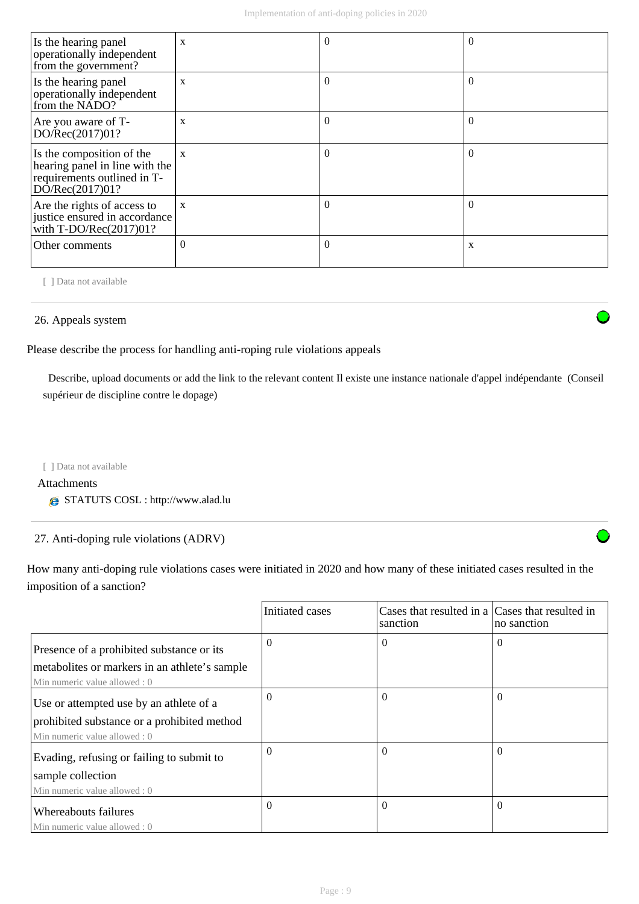| Is the hearing panel<br>operationally independent<br>from the government?                                     | X            | $\Omega$ |          |
|---------------------------------------------------------------------------------------------------------------|--------------|----------|----------|
| Is the hearing panel<br>operationally independent<br>from the NADO?                                           | X            | $\Omega$ | $\theta$ |
| Are you aware of T-<br>DO/Rec(2017)01?                                                                        | X            | $\Omega$ |          |
| Is the composition of the<br>hearing panel in line with the<br>requirements outlined in T-<br>DO/Rec(2017)01? | X            | $\Omega$ |          |
| Are the rights of access to<br>justice ensured in accordance<br>with T-DO/Rec(2017)01?                        | $\mathbf{x}$ | $\Omega$ |          |
| Other comments                                                                                                | $\Omega$     | $\Omega$ | X        |

[ ] Data not available

#### 26. Appeals system

Please describe the process for handling anti-roping rule violations appeals

 Describe, upload documents or add the link to the relevant content Il existe une instance nationale d'appel indépendante (Conseil supérieur de discipline contre le dopage)

[ ] Data not available

Attachments

STATUTS COSL : http://www.alad.lu

27. Anti-doping rule violations (ADRV)

How many anti-doping rule violations cases were initiated in 2020 and how many of these initiated cases resulted in the imposition of a sanction?

|                                                                                 | Initiated cases | Cases that resulted in a Cases that resulted in<br>sanction | no sanction |
|---------------------------------------------------------------------------------|-----------------|-------------------------------------------------------------|-------------|
| Presence of a prohibited substance or its                                       | 0               | $\Omega$                                                    | $\Omega$    |
| metabolities or markers in an athlete's sample<br>Min numeric value allowed : 0 |                 |                                                             |             |
| Use or attempted use by an athlete of a                                         | 0               | $\Omega$                                                    | $\Omega$    |
| prohibited substance or a prohibited method                                     |                 |                                                             |             |
| Min numeric value allowed: 0                                                    | $\Omega$        | $\theta$                                                    | $\Omega$    |
| Evading, refusing or failing to submit to<br>sample collection                  |                 |                                                             |             |
| Min numeric value allowed: 0                                                    |                 |                                                             |             |
| Whereabouts failures                                                            | $\Omega$        | $\Omega$                                                    | $\Omega$    |
| Min numeric value allowed : 0                                                   |                 |                                                             |             |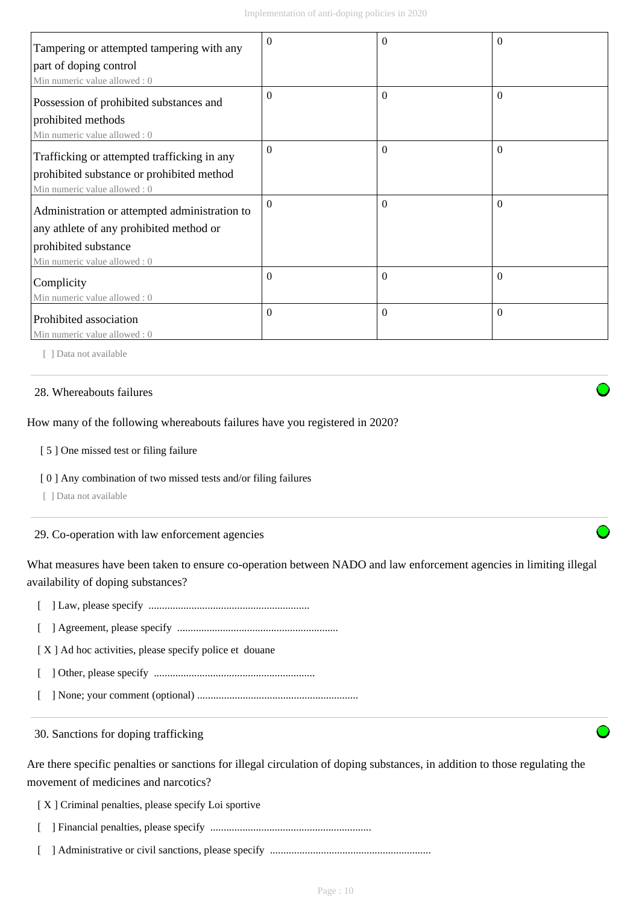| Tampering or attempted tampering with any     | $\Omega$ | $\theta$       | $\Omega$ |
|-----------------------------------------------|----------|----------------|----------|
| part of doping control                        |          |                |          |
| Min numeric value allowed: 0                  |          |                |          |
| Possession of prohibited substances and       | 0        | $\Omega$       | $\theta$ |
| prohibited methods                            |          |                |          |
| Min numeric value allowed: 0                  |          |                |          |
| Trafficking or attempted trafficking in any   | $\Omega$ | $\overline{0}$ | $\Omega$ |
| prohibited substance or prohibited method     |          |                |          |
| Min numeric value allowed: 0                  |          |                |          |
| Administration or attempted administration to | $\Omega$ | $\theta$       | $\Omega$ |
| any athlete of any prohibited method or       |          |                |          |
| prohibited substance                          |          |                |          |
| Min numeric value allowed: 0                  |          |                |          |
| Complicity                                    | 0        | $\theta$       | $\Omega$ |
| Min numeric value allowed: 0                  |          |                |          |
| Prohibited association                        | 0        | $\theta$       | $\Omega$ |
| Min numeric value allowed : 0                 |          |                |          |

[ ] Data not available

#### 28. Whereabouts failures

How many of the following whereabouts failures have you registered in 2020?

[ 5 ] One missed test or filing failure

[ 0 ] Any combination of two missed tests and/or filing failures

[ ] Data not available

29. Co-operation with law enforcement agencies

What measures have been taken to ensure co-operation between NADO and law enforcement agencies in limiting illegal availability of doping substances?

[ ] Law, please specify ............................................................

[ ] Agreement, please specify ............................................................

[X] Ad hoc activities, please specify police et douane

[ ] Other, please specify ............................................................

[ ] None; your comment (optional) ............................................................

30. Sanctions for doping trafficking

Are there specific penalties or sanctions for illegal circulation of doping substances, in addition to those regulating the movement of medicines and narcotics?

[ X ] Criminal penalties, please specify Loi sportive

[ ] Financial penalties, please specify ............................................................

[ ] Administrative or civil sanctions, please specify ............................................................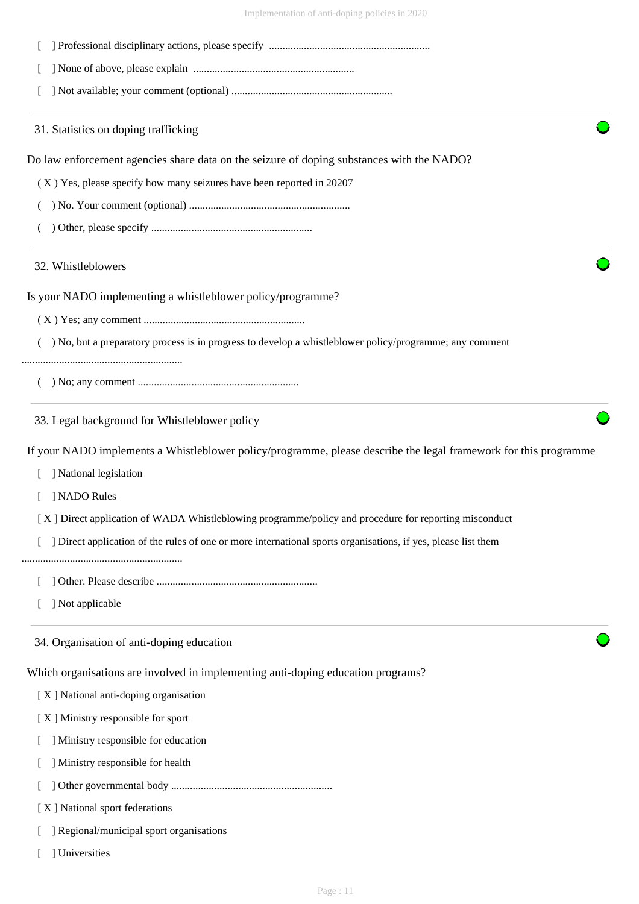

- [ ] Regional/municipal sport organisations
- [ ] Universities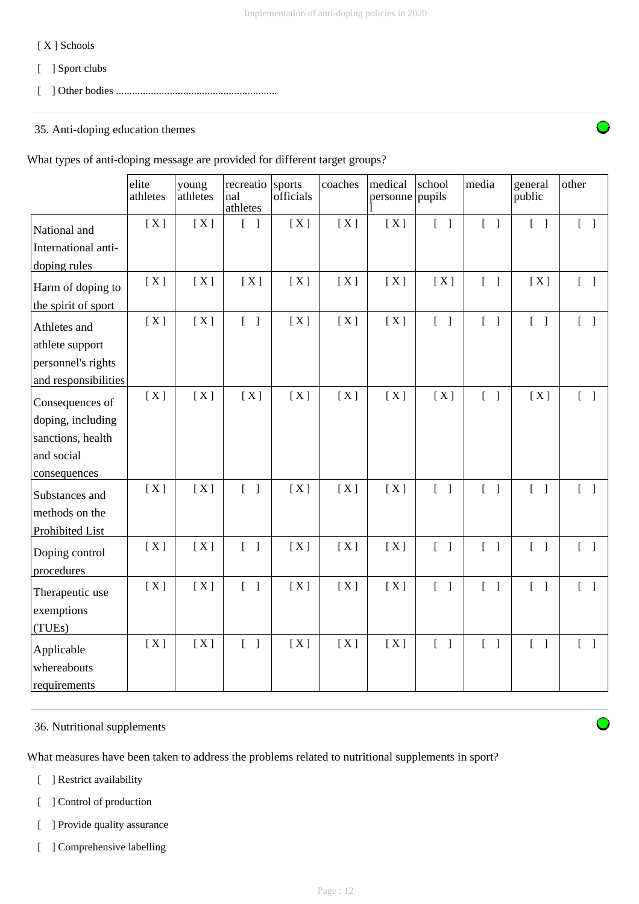## [ X ] Schools

- [ ] Sport clubs
- [ ] Other bodies ............................................................

## 35. Anti-doping education themes

What types of anti-doping message are provided for different target groups?

|                                           | elite<br>athletes | young<br>athletes | recreatio<br>nal<br>athletes      | sports<br>officials | coaches | medical<br>personne pupils | school                            | media                             | general<br>public                 | other                             |
|-------------------------------------------|-------------------|-------------------|-----------------------------------|---------------------|---------|----------------------------|-----------------------------------|-----------------------------------|-----------------------------------|-----------------------------------|
| National and                              | [X]               | [X]               | $\begin{bmatrix} 1 \end{bmatrix}$ | [X]                 | [X]     | [X]                        | $\begin{bmatrix} 1 \end{bmatrix}$ | $[ \ ]$                           | $\begin{bmatrix} 1 \end{bmatrix}$ | $[\ ]$                            |
| International anti-                       |                   |                   |                                   |                     |         |                            |                                   |                                   |                                   |                                   |
| doping rules                              |                   |                   |                                   |                     |         |                            |                                   |                                   |                                   |                                   |
| Harm of doping to                         | [X]               | [X]               | [X]                               | [X]                 | [X]     | [X]                        | [X]                               | $\begin{bmatrix} 1 \end{bmatrix}$ | [X]                               | $\begin{bmatrix} 1 \end{bmatrix}$ |
| the spirit of sport                       |                   |                   |                                   |                     |         |                            |                                   |                                   |                                   |                                   |
| Athletes and                              | [X]               | [X]               | $\begin{bmatrix} 1 \end{bmatrix}$ | [X]                 | [X]     | [X]                        | $\begin{bmatrix} 1 \end{bmatrix}$ | $\begin{bmatrix} 1 \end{bmatrix}$ | $\begin{bmatrix} 1 \end{bmatrix}$ | $\begin{bmatrix} 1 \end{bmatrix}$ |
| athlete support                           |                   |                   |                                   |                     |         |                            |                                   |                                   |                                   |                                   |
| personnel's rights                        |                   |                   |                                   |                     |         |                            |                                   |                                   |                                   |                                   |
| and responsibilities                      |                   |                   |                                   |                     |         |                            |                                   |                                   |                                   |                                   |
| Consequences of                           | [X]               | [X]               | [X]                               | [X]                 | [X]     | [X]                        | [X]                               | $\begin{bmatrix} 1 \end{bmatrix}$ | [X]                               | $\begin{bmatrix} 1 \end{bmatrix}$ |
| doping, including                         |                   |                   |                                   |                     |         |                            |                                   |                                   |                                   |                                   |
| sanctions, health                         |                   |                   |                                   |                     |         |                            |                                   |                                   |                                   |                                   |
| and social                                |                   |                   |                                   |                     |         |                            |                                   |                                   |                                   |                                   |
| consequences                              |                   |                   |                                   |                     |         |                            |                                   |                                   |                                   |                                   |
| Substances and                            | [X]               | [X]               | $\begin{bmatrix} 1 \end{bmatrix}$ | [X]                 | [X]     | [X]                        | $\begin{bmatrix} 1 \end{bmatrix}$ | $\begin{bmatrix} 1 \end{bmatrix}$ | $\begin{bmatrix} 1 \end{bmatrix}$ | $\begin{bmatrix} 1 \end{bmatrix}$ |
| methods on the                            |                   |                   |                                   |                     |         |                            |                                   |                                   |                                   |                                   |
| Prohibited List                           |                   |                   |                                   |                     |         |                            |                                   |                                   |                                   |                                   |
| Doping control<br>procedures              | [X]               | [X]               | $\begin{bmatrix} 1 \end{bmatrix}$ | [X]                 | [X]     | [X]                        | $\begin{bmatrix} 1 \end{bmatrix}$ | $[$ $]$                           | $\begin{bmatrix} 1 \end{bmatrix}$ | $\begin{bmatrix} 1 \end{bmatrix}$ |
| Therapeutic use                           | [X]               | [X]               | $\begin{bmatrix} 1 \end{bmatrix}$ | [X]                 | [X]     | [X]                        | $\begin{bmatrix} 1 \end{bmatrix}$ | $\begin{bmatrix} 1 \end{bmatrix}$ | $\begin{bmatrix} 1 \end{bmatrix}$ | $\begin{bmatrix} 1 \end{bmatrix}$ |
| exemptions<br>(TUEs)                      |                   |                   |                                   |                     |         |                            |                                   |                                   |                                   |                                   |
| Applicable<br>whereabouts<br>requirements | [X]               | [X]               | $\begin{bmatrix} 1 \end{bmatrix}$ | [X]                 | [X]     | [X]                        | $\begin{bmatrix} 1 \end{bmatrix}$ | $[\ ]$                            | $\begin{bmatrix} 1 \end{bmatrix}$ | $\begin{bmatrix} 1 \end{bmatrix}$ |

#### 36. Nutritional supplements

What measures have been taken to address the problems related to nutritional supplements in sport?

- [ ] Restrict availability
- [ ] Control of production
- [ ] Provide quality assurance
- [ ] Comprehensive labelling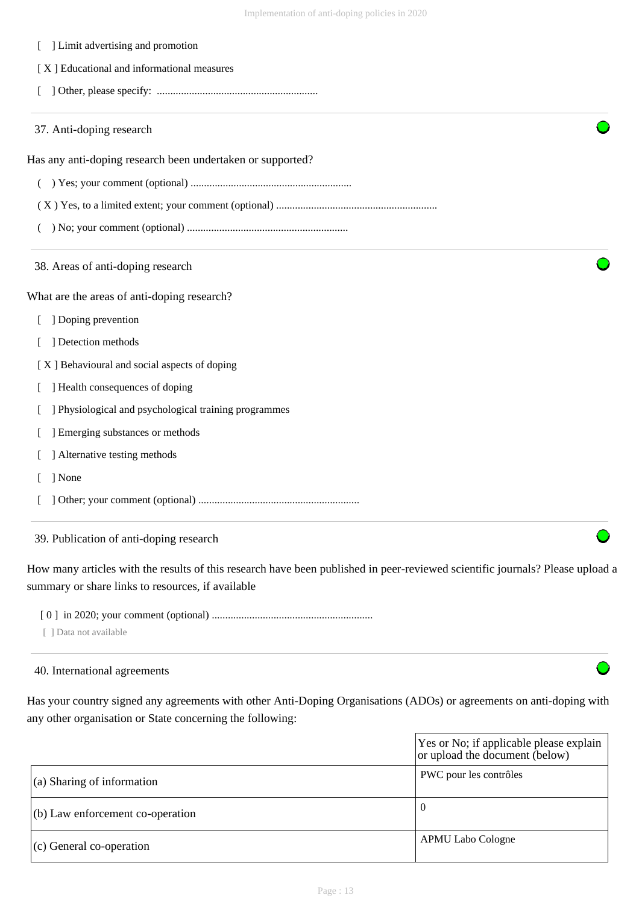| ] Limit advertising and promotion                          |  |
|------------------------------------------------------------|--|
| [X] Educational and informational measures                 |  |
|                                                            |  |
| 37. Anti-doping research                                   |  |
| Has any anti-doping research been undertaken or supported? |  |
| €                                                          |  |
|                                                            |  |
|                                                            |  |
| 38. Areas of anti-doping research                          |  |
| What are the areas of anti-doping research?                |  |
| ] Doping prevention                                        |  |
| ] Detection methods                                        |  |
| [X] Behavioural and social aspects of doping               |  |
| ] Health consequences of doping                            |  |
| ] Physiological and psychological training programmes      |  |
| ] Emerging substances or methods                           |  |
| ] Alternative testing methods                              |  |
| ] None                                                     |  |
|                                                            |  |

#### 39. Publication of anti-doping research

How many articles with the results of this research have been published in peer-reviewed scientific journals? Please upload a summary or share links to resources, if available

[ 0 ] in 2020; your comment (optional) ............................................................

[ ] Data not available

# 40. International agreements

Has your country signed any agreements with other Anti-Doping Organisations (ADOs) or agreements on anti-doping with any other organisation or State concerning the following:

|                                    | Yes or No; if applicable please explain<br>or upload the document (below) |
|------------------------------------|---------------------------------------------------------------------------|
| $\vert$ (a) Sharing of information | PWC pour les contrôles                                                    |
| $(6)$ Law enforcement co-operation | 0                                                                         |
| $(c)$ General co-operation         | APMU Labo Cologne                                                         |